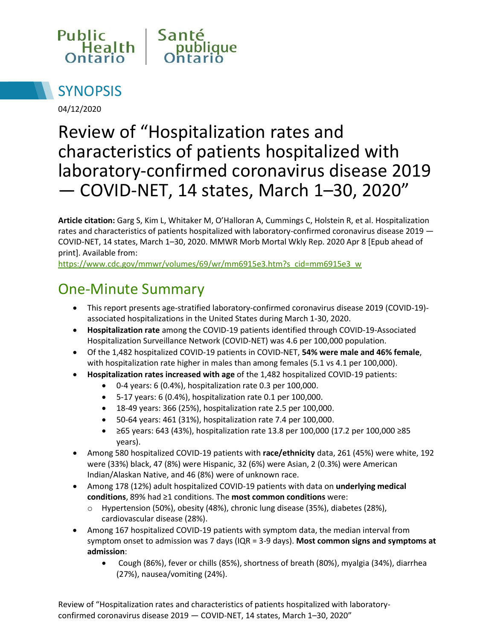



04/12/2020

# Review of "Hospitalization rates and characteristics of patients hospitalized with laboratory-confirmed coronavirus disease 2019 — COVID-NET, 14 states, March 1–30, 2020"

**Article citation:** Garg S, Kim L, Whitaker M, O'Halloran A, Cummings C, Holstein R, et al. Hospitalization rates and characteristics of patients hospitalized with laboratory-confirmed coronavirus disease 2019 — COVID-NET, 14 states, March 1–30, 2020. MMWR Morb Mortal Wkly Rep. 2020 Apr 8 [Epub ahead of print]. Available from:

[https://www.cdc.gov/mmwr/volumes/69/wr/mm6915e3.htm?s\\_cid=mm6915e3\\_w](https://www.cdc.gov/mmwr/volumes/69/wr/mm6915e3.htm?s_cid=mm6915e3_w)

### One-Minute Summary

- This report presents age-stratified laboratory-confirmed coronavirus disease 2019 (COVID-19) associated hospitalizations in the United States during March 1-30, 2020.
- **Hospitalization rate** among the COVID-19 patients identified through COVID-19-Associated Hospitalization Surveillance Network (COVID-NET) was 4.6 per 100,000 population.
- Of the 1,482 hospitalized COVID-19 patients in COVID-NET, **54% were male and 46% female**, with hospitalization rate higher in males than among females (5.1 vs 4.1 per 100,000).
- **Hospitalization rates increased with age** of the 1,482 hospitalized COVID-19 patients:
	- 0-4 years: 6 (0.4%), hospitalization rate 0.3 per 100,000.
	- 5-17 years: 6 (0.4%), hospitalization rate 0.1 per 100,000.
	- 18-49 years: 366 (25%), hospitalization rate 2.5 per 100,000.
	- 50-64 years: 461 (31%), hospitalization rate 7.4 per 100,000.
	- ≥65 years: 643 (43%), hospitalization rate 13.8 per 100,000 (17.2 per 100,000 ≥85 years).
- Among 580 hospitalized COVID-19 patients with **race/ethnicity** data, 261 (45%) were white, 192 were (33%) black, 47 (8%) were Hispanic, 32 (6%) were Asian, 2 (0.3%) were American Indian/Alaskan Native, and 46 (8%) were of unknown race.
- Among 178 (12%) adult hospitalized COVID-19 patients with data on **underlying medical conditions**, 89% had ≥1 conditions. The **most common conditions** were:
	- o Hypertension (50%), obesity (48%), chronic lung disease (35%), diabetes (28%), cardiovascular disease (28%).
- Among 167 hospitalized COVID-19 patients with symptom data, the median interval from symptom onset to admission was 7 days (IQR = 3-9 days). **Most common signs and symptoms at admission**:
	- Cough (86%), fever or chills (85%), shortness of breath (80%), myalgia (34%), diarrhea (27%), nausea/vomiting (24%).

Review of "Hospitalization rates and characteristics of patients hospitalized with laboratoryconfirmed coronavirus disease 2019 — COVID-NET, 14 states, March 1–30, 2020"